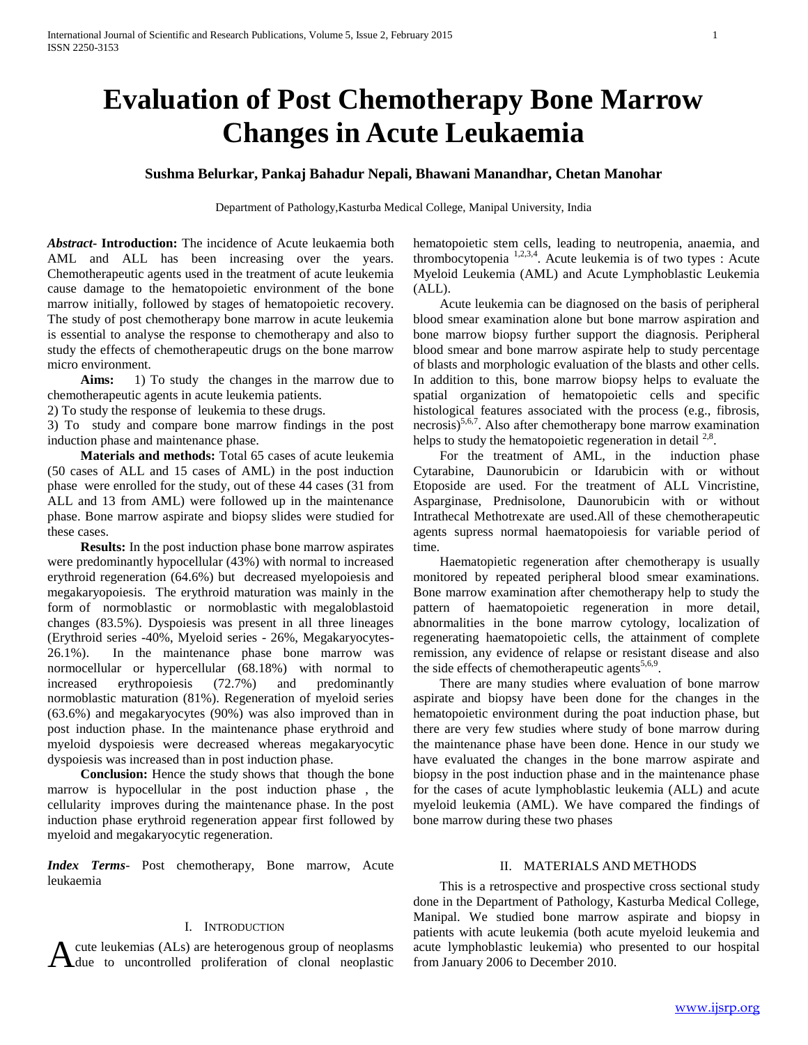# **Evaluation of Post Chemotherapy Bone Marrow Changes in Acute Leukaemia**

### **Sushma Belurkar, Pankaj Bahadur Nepali, Bhawani Manandhar, Chetan Manohar**

Department of Pathology,Kasturba Medical College, Manipal University, India

*Abstract***- Introduction:** The incidence of Acute leukaemia both AML and ALL has been increasing over the years. Chemotherapeutic agents used in the treatment of acute leukemia cause damage to the hematopoietic environment of the bone marrow initially, followed by stages of hematopoietic recovery. The study of post chemotherapy bone marrow in acute leukemia is essential to analyse the response to chemotherapy and also to study the effects of chemotherapeutic drugs on the bone marrow micro environment.

 **Aims:** 1) To study the changes in the marrow due to chemotherapeutic agents in acute leukemia patients.

2) To study the response of leukemia to these drugs.

3) To study and compare bone marrow findings in the post induction phase and maintenance phase.

 **Materials and methods:** Total 65 cases of acute leukemia (50 cases of ALL and 15 cases of AML) in the post induction phase were enrolled for the study, out of these 44 cases (31 from ALL and 13 from AML) were followed up in the maintenance phase. Bone marrow aspirate and biopsy slides were studied for these cases.

 **Results:** In the post induction phase bone marrow aspirates were predominantly hypocellular (43%) with normal to increased erythroid regeneration (64.6%) but decreased myelopoiesis and megakaryopoiesis. The erythroid maturation was mainly in the form of normoblastic or normoblastic with megaloblastoid changes (83.5%). Dyspoiesis was present in all three lineages (Erythroid series -40%, Myeloid series - 26%, Megakaryocytes-26.1%). In the maintenance phase bone marrow was normocellular or hypercellular (68.18%) with normal to increased erythropoiesis (72.7%) and predominantly normoblastic maturation (81%). Regeneration of myeloid series (63.6%) and megakaryocytes (90%) was also improved than in post induction phase. In the maintenance phase erythroid and myeloid dyspoiesis were decreased whereas megakaryocytic dyspoiesis was increased than in post induction phase.

 **Conclusion:** Hence the study shows that though the bone marrow is hypocellular in the post induction phase , the cellularity improves during the maintenance phase. In the post induction phase erythroid regeneration appear first followed by myeloid and megakaryocytic regeneration.

*Index Terms*- Post chemotherapy, Bone marrow, Acute leukaemia

#### I. INTRODUCTION

cute leukemias (ALs) are heterogenous group of neoplasms

hematopoietic stem cells, leading to neutropenia, anaemia, and thrombocytopenia  $\frac{1,2,3,4}{2}$ . Acute leukemia is of two types : Acute Myeloid Leukemia (AML) and Acute Lymphoblastic Leukemia (ALL).

 Acute leukemia can be diagnosed on the basis of peripheral blood smear examination alone but bone marrow aspiration and bone marrow biopsy further support the diagnosis. Peripheral blood smear and bone marrow aspirate help to study percentage of blasts and morphologic evaluation of the blasts and other cells. In addition to this, bone marrow biopsy helps to evaluate the spatial organization of hematopoietic cells and specific histological features associated with the process (e.g., fibrosis, necrosis)<sup>5,6,7</sup>. Also after chemotherapy bone marrow examination helps to study the hematopoietic regeneration in detail  $2.8$ .

 For the treatment of AML, in the induction phase Cytarabine, Daunorubicin or Idarubicin with or without Etoposide are used. For the treatment of ALL Vincristine, Asparginase, Prednisolone, Daunorubicin with or without Intrathecal Methotrexate are used.All of these chemotherapeutic agents supress normal haematopoiesis for variable period of time.

 Haematopietic regeneration after chemotherapy is usually monitored by repeated peripheral blood smear examinations. Bone marrow examination after chemotherapy help to study the pattern of haematopoietic regeneration in more detail, abnormalities in the bone marrow cytology, localization of regenerating haematopoietic cells, the attainment of complete remission, any evidence of relapse or resistant disease and also the side effects of chemotherapeutic agents<sup>5,6,9</sup>.

 There are many studies where evaluation of bone marrow aspirate and biopsy have been done for the changes in the hematopoietic environment during the poat induction phase, but there are very few studies where study of bone marrow during the maintenance phase have been done. Hence in our study we have evaluated the changes in the bone marrow aspirate and biopsy in the post induction phase and in the maintenance phase for the cases of acute lymphoblastic leukemia (ALL) and acute myeloid leukemia (AML). We have compared the findings of bone marrow during these two phases

#### II. MATERIALS AND METHODS

A cute leukemias (ALs) are heterogenous group of neoplasms acute lymphoblastic leukemia) who presented to our hospital due to uncontrolled proliferation of clonal neoplastic from January 2006 to December 2010. This is a retrospective and prospective cross sectional study done in the Department of Pathology, Kasturba Medical College, Manipal. We studied bone marrow aspirate and biopsy in patients with acute leukemia (both acute myeloid leukemia and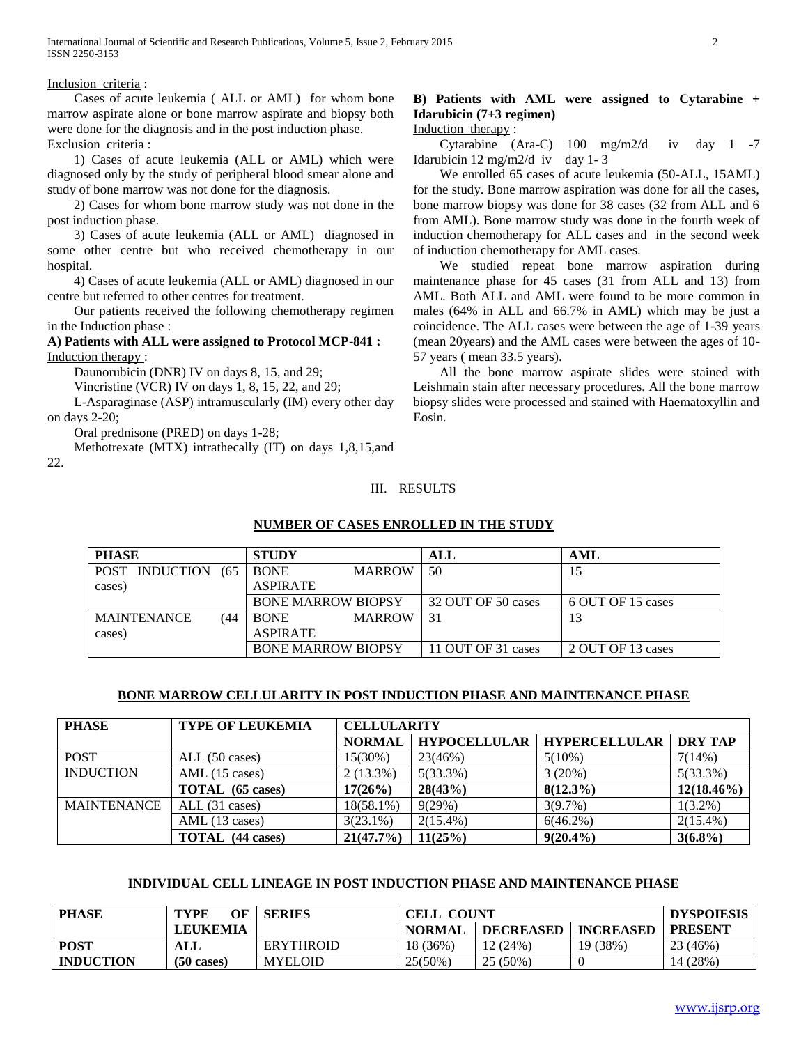#### Inclusion criteria :

 Cases of acute leukemia ( ALL or AML) for whom bone marrow aspirate alone or bone marrow aspirate and biopsy both were done for the diagnosis and in the post induction phase. Exclusion criteria :

 1) Cases of acute leukemia (ALL or AML) which were diagnosed only by the study of peripheral blood smear alone and study of bone marrow was not done for the diagnosis.

 2) Cases for whom bone marrow study was not done in the post induction phase.

 3) Cases of acute leukemia (ALL or AML) diagnosed in some other centre but who received chemotherapy in our hospital.

 4) Cases of acute leukemia (ALL or AML) diagnosed in our centre but referred to other centres for treatment.

 Our patients received the following chemotherapy regimen in the Induction phase :

#### **A) Patients with ALL were assigned to Protocol MCP-841 :** Induction therapy :

Daunorubicin (DNR) IV on days 8, 15, and 29;

Vincristine (VCR) IV on days 1, 8, 15, 22, and 29;

 L-Asparaginase (ASP) intramuscularly (IM) every other day on days 2-20;

Oral prednisone (PRED) on days 1-28;

Methotrexate (MTX) intrathecally (IT) on days 1,8,15,and

22.

## **B) Patients with AML were assigned to Cytarabine + Idarubicin (7+3 regimen)**

Induction therapy :

 Cytarabine (Ara-C) 100 mg/m2/d iv day 1 -7 Idarubicin 12 mg/m2/d iv day 1- 3

 We enrolled 65 cases of acute leukemia (50-ALL, 15AML) for the study. Bone marrow aspiration was done for all the cases, bone marrow biopsy was done for 38 cases (32 from ALL and 6 from AML). Bone marrow study was done in the fourth week of induction chemotherapy for ALL cases and in the second week of induction chemotherapy for AML cases.

 We studied repeat bone marrow aspiration during maintenance phase for 45 cases (31 from ALL and 13) from AML. Both ALL and AML were found to be more common in males (64% in ALL and 66.7% in AML) which may be just a coincidence. The ALL cases were between the age of 1-39 years (mean 20years) and the AML cases were between the ages of 10- 57 years ( mean 33.5 years).

 All the bone marrow aspirate slides were stained with Leishmain stain after necessary procedures. All the bone marrow biopsy slides were processed and stained with Haematoxyllin and Eosin.

#### III. RESULTS

#### **NUMBER OF CASES ENROLLED IN THE STUDY**

| <b>PHASE</b>        | <b>STUDY</b>                 | ALL                | AML               |
|---------------------|------------------------------|--------------------|-------------------|
| POST INDUCTION (65) | <b>MARROW</b><br><b>BONE</b> | 50                 | 15                |
| cases)              | <b>ASPIRATE</b>              |                    |                   |
|                     | <b>BONE MARROW BIOPSY</b>    | 32 OUT OF 50 cases | 6 OUT OF 15 cases |
| MAINTENANCE<br>(44) | <b>MARROW</b><br><b>BONE</b> |                    | 13                |
| cases)              | <b>ASPIRATE</b>              |                    |                   |
|                     | <b>BONE MARROW BIOPSY</b>    | 11 OUT OF 31 cases | 2 OUT OF 13 cases |

#### **BONE MARROW CELLULARITY IN POST INDUCTION PHASE AND MAINTENANCE PHASE**

| <b>PHASE</b>     | <b>TYPE OF LEUKEMIA</b> | <b>CELLULARITY</b> |                     |                      |                |  |
|------------------|-------------------------|--------------------|---------------------|----------------------|----------------|--|
|                  |                         | <b>NORMAL</b>      | <b>HYPOCELLULAR</b> | <b>HYPERCELLULAR</b> | <b>DRY TAP</b> |  |
| <b>POST</b>      | ALL (50 cases)          | $15(30\%)$         | 23(46%)             | $5(10\%)$            | 7(14%)         |  |
| <b>INDUCTION</b> | $AML$ (15 cases)        | $2(13.3\%)$        | $5(33.3\%)$         | 3(20%)               | 5(33.3%)       |  |
|                  | <b>TOTAL</b> (65 cases) | 17(26%)            | 28(43%)             | $8(12.3\%)$          | $12(18.46\%)$  |  |
| MAINTENANCE      | ALL(31 cases)           | $18(58.1\%)$       | 9(29%)              | $3(9.7\%)$           | $1(3.2\%)$     |  |
|                  | AML (13 cases)          | $3(23.1\%)$        | $2(15.4\%)$         | $6(46.2\%)$          | $2(15.4\%)$    |  |
|                  | <b>TOTAL</b> (44 cases) | 21(47.7%)          | 11(25%)             | $9(20.4\%)$          | $3(6.8\%)$     |  |

#### **INDIVIDUAL CELL LINEAGE IN POST INDUCTION PHASE AND MAINTENANCE PHASE**

| <b>PHASE</b>     | OF<br><b>TYPE</b>    | <b>SERIES</b>    | <b>CELL COUNT</b> | <b>DYSPOIESIS</b> |                  |                |
|------------------|----------------------|------------------|-------------------|-------------------|------------------|----------------|
|                  | <b>LEUKEMIA</b>      |                  | <b>NORMAL</b>     | <b>DECREASED</b>  | <b>INCREASED</b> | <b>PRESENT</b> |
| <b>POST</b>      | ALL                  | <b>ERYTHROID</b> | 18 (36%)          | 12(24%)           | 19 (38%)         | 23 (46%)       |
| <b>INDUCTION</b> | $(50 \text{ cases})$ | <b>MYELOID</b>   | $25(50\%$         | 25 (50%)          |                  | 14 (28%)       |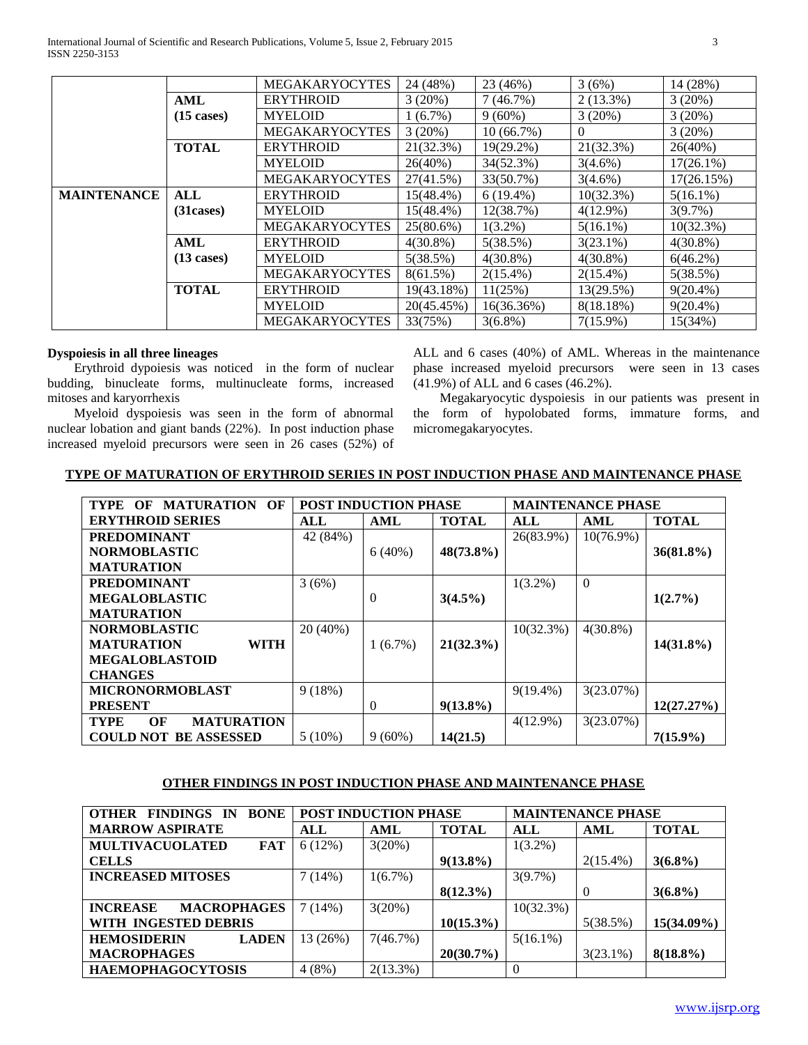International Journal of Scientific and Research Publications, Volume 5, Issue 2, February 2015 3 ISSN 2250-3153

|                    |                      | <b>MEGAKARYOCYTES</b> | 24 (48%)     | 23 (46%)     | 3(6%)        | 14 (28%)     |
|--------------------|----------------------|-----------------------|--------------|--------------|--------------|--------------|
|                    | AML                  | <b>ERYTHROID</b>      | 3(20%)       | 7(46.7%)     | $2(13.3\%)$  | 3(20%)       |
|                    | $(15 \text{ cases})$ | <b>MYELOID</b>        | $1(6.7\%)$   | $9(60\%)$    | 3(20%)       | 3(20%)       |
|                    |                      | <b>MEGAKARYOCYTES</b> | 3(20%)       | $10(66.7\%)$ | 0            | 3(20%)       |
|                    | <b>TOTAL</b>         | <b>ERYTHROID</b>      | 21(32.3%)    | $19(29.2\%)$ | 21(32.3%)    | 26(40%)      |
|                    |                      | <b>MYELOID</b>        | $26(40\%)$   | 34(52.3%)    | $3(4.6\%)$   | $17(26.1\%)$ |
|                    |                      | <b>MEGAKARYOCYTES</b> | 27(41.5%)    | 33(50.7%)    | $3(4.6\%)$   | 17(26.15%)   |
| <b>MAINTENANCE</b> | <b>ALL</b>           | <b>ERYTHROID</b>      | $15(48.4\%)$ | $6(19.4\%)$  | 10(32.3%)    | $5(16.1\%)$  |
|                    | (31 cases)           | <b>MYELOID</b>        | $15(48.4\%)$ | 12(38.7%)    | $4(12.9\%)$  | 3(9.7%)      |
|                    |                      | <b>MEGAKARYOCYTES</b> | $25(80.6\%)$ | $1(3.2\%)$   | $5(16.1\%)$  | 10(32.3%)    |
|                    | <b>AML</b>           | <b>ERYTHROID</b>      | $4(30.8\%)$  | 5(38.5%)     | $3(23.1\%)$  | $4(30.8\%)$  |
|                    | $(13 \text{ cases})$ | <b>MYELOID</b>        | 5(38.5%)     | $4(30.8\%)$  | $4(30.8\%)$  | $6(46.2\%)$  |
|                    |                      | <b>MEGAKARYOCYTES</b> | 8(61.5%)     | $2(15.4\%)$  | $2(15.4\%)$  | 5(38.5%)     |
|                    | <b>TOTAL</b>         | <b>ERYTHROID</b>      | 19(43.18%)   | 11(25%)      | 13(29.5%)    | $9(20.4\%)$  |
|                    |                      | <b>MYELOID</b>        | 20(45.45%)   | 16(36.36%)   | $8(18.18\%)$ | $9(20.4\%)$  |
|                    |                      | <b>MEGAKARYOCYTES</b> | 33(75%)      | $3(6.8\%)$   | $7(15.9\%)$  | 15(34%)      |

#### **Dyspoiesis in all three lineages**

 Erythroid dypoiesis was noticed in the form of nuclear budding, binucleate forms, multinucleate forms, increased mitoses and karyorrhexis

 Myeloid dyspoiesis was seen in the form of abnormal nuclear lobation and giant bands (22%).In post induction phase increased myeloid precursors were seen in 26 cases (52%) of ALL and 6 cases (40%) of AML. Whereas in the maintenance phase increased myeloid precursors were seen in 13 cases (41.9%) of ALL and 6 cases (46.2%).

 Megakaryocytic dyspoiesis in our patients was present in the form of hypolobated forms, immature forms, and micromegakaryocytes.

## **TYPE OF MATURATION OF ERYTHROID SERIES IN POST INDUCTION PHASE AND MAINTENANCE PHASE**

| <b>MATURATION</b><br><b>TYPE</b><br>OF<br>OF |           | <b>POST INDUCTION PHASE</b> |              |             | <b>MAINTENANCE PHASE</b> |              |
|----------------------------------------------|-----------|-----------------------------|--------------|-------------|--------------------------|--------------|
| <b>ERYTHROID SERIES</b>                      | ALL       | AML                         | <b>TOTAL</b> | ALL         | AML                      | <b>TOTAL</b> |
| <b>PREDOMINANT</b>                           | 42 (84%)  |                             |              | 26(83.9%)   | $10(76.9\%)$             |              |
| <b>NORMOBLASTIC</b>                          |           | 6(40%)                      | $48(73.8\%)$ |             |                          | $36(81.8\%)$ |
| <b>MATURATION</b>                            |           |                             |              |             |                          |              |
| <b>PREDOMINANT</b>                           | 3(6%)     |                             |              | $1(3.2\%)$  | $\overline{0}$           |              |
| <b>MEGALOBLASTIC</b>                         |           | $\overline{0}$              | $3(4.5\%)$   |             |                          | $1(2.7\%)$   |
| <b>MATURATION</b>                            |           |                             |              |             |                          |              |
| <b>NORMOBLASTIC</b>                          | 20 (40%)  |                             |              | 10(32.3%)   | $4(30.8\%)$              |              |
| <b>MATURATION</b><br><b>WITH</b>             |           | $1(6.7\%)$                  | $21(32.3\%)$ |             |                          | $14(31.8\%)$ |
| <b>MEGALOBLASTOID</b>                        |           |                             |              |             |                          |              |
| <b>CHANGES</b>                               |           |                             |              |             |                          |              |
| <b>MICRONORMOBLAST</b>                       | 9(18%)    |                             |              | $9(19.4\%)$ | 3(23.07%)                |              |
| <b>PRESENT</b>                               |           | $\overline{0}$              | $9(13.8\%)$  |             |                          | 12(27.27%)   |
| <b>MATURATION</b><br><b>TYPE</b><br>OF       |           |                             |              | $4(12.9\%)$ | 3(23.07%)                |              |
| <b>BE ASSESSED</b><br><b>COULD NOT</b>       | $5(10\%)$ | $9(60\%)$                   | 14(21.5)     |             |                          | $7(15.9\%)$  |

## **OTHER FINDINGS IN POST INDUCTION PHASE AND MAINTENANCE PHASE**

| <b>FINDINGS</b><br><b>BONE</b><br><b>OTHER</b><br>- IN | <b>POST INDUCTION PHASE</b> |             | <b>MAINTENANCE PHASE</b> |             |             |              |
|--------------------------------------------------------|-----------------------------|-------------|--------------------------|-------------|-------------|--------------|
| <b>MARROW ASPIRATE</b>                                 | ALL                         | AML         | <b>TOTAL</b>             | ALL         | AML         | <b>TOTAL</b> |
| <b>MULTIVACUOLATED</b><br>FAT                          | 6(12%)                      | 3(20%)      |                          | $1(3.2\%)$  |             |              |
| <b>CELLS</b>                                           |                             |             | $9(13.8\%)$              |             | $2(15.4\%)$ | $3(6.8\%)$   |
| <b>INCREASED MITOSES</b>                               | 7(14%)                      | $1(6.7\%)$  |                          | 3(9.7%)     |             |              |
|                                                        |                             |             | $8(12.3\%)$              |             | $\theta$    | $3(6.8\%)$   |
| <b>MACROPHAGES</b><br><b>INCREASE</b>                  | 7(14%)                      | 3(20%)      |                          | 10(32.3%)   |             |              |
| WITH INGESTED DEBRIS                                   |                             |             | $10(15.3\%)$             |             | 5(38.5%)    | 15(34.09%)   |
| <b>HEMOSIDERIN</b><br><b>LADEN</b>                     | 13 (26%)                    | 7(46.7%)    |                          | $5(16.1\%)$ |             |              |
| <b>MACROPHAGES</b>                                     |                             |             | 20(30.7%)                |             | $3(23.1\%)$ | $8(18.8\%)$  |
| <b>HAEMOPHAGOCYTOSIS</b>                               | 4(8%)                       | $2(13.3\%)$ |                          | 0           |             |              |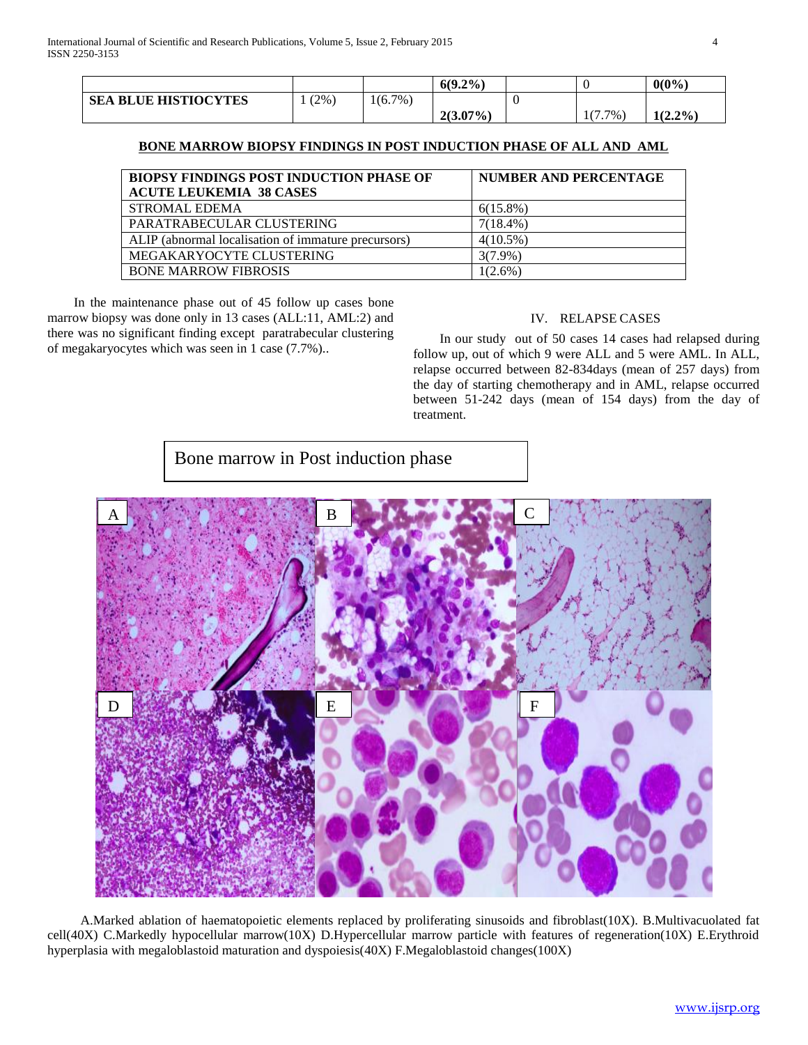|                             |         |            | $6(9.2\%)$  |                       | $0(0\%)$   |
|-----------------------------|---------|------------|-------------|-----------------------|------------|
| <b>SEA BLUE HISTIOCYTES</b> | $(2\%)$ | $1(6.7\%)$ |             |                       |            |
|                             |         |            | $2(3.07\%)$ | $\sqrt{2}$<br>7%<br>. | $1(2.2\%)$ |

### **BONE MARROW BIOPSY FINDINGS IN POST INDUCTION PHASE OF ALL AND AML**

| <b>BIOPSY FINDINGS POST INDUCTION PHASE OF</b>      | <b>NUMBER AND PERCENTAGE</b> |
|-----------------------------------------------------|------------------------------|
| <b>ACUTE LEUKEMIA 38 CASES</b>                      |                              |
| <b>STROMAL EDEMA</b>                                | $6(15.8\%)$                  |
| PARATRABECULAR CLUSTERING                           | $7(18.4\%)$                  |
| ALIP (abnormal localisation of immature precursors) | $4(10.5\%)$                  |
| MEGAKARYOCYTE CLUSTERING                            | $3(7.9\%)$                   |
| <b>BONE MARROW FIBROSIS</b>                         | $(2.6\%)$                    |

 In the maintenance phase out of 45 follow up cases bone marrow biopsy was done only in 13 cases (ALL:11, AML:2) and there was no significant finding except paratrabecular clustering of megakaryocytes which was seen in 1 case (7.7%)..

## IV. RELAPSE CASES

 In our study out of 50 cases 14 cases had relapsed during follow up, out of which 9 were ALL and 5 were AML. In ALL, relapse occurred between 82-834days (mean of 257 days) from the day of starting chemotherapy and in AML, relapse occurred between 51-242 days (mean of 154 days) from the day of treatment.

Bone marrow in Post induction phase



 A.Marked ablation of haematopoietic elements replaced by proliferating sinusoids and fibroblast(10X). B.Multivacuolated fat c cell(40X) C.Markedly hypocellular marrow(10X) D.Hypercellular marrow particle with features of regeneration(10X) E.Erythroid u hyperplasia with megaloblastoid maturation and dyspoiesis(40X) F.Megaloblastoid changes(100X) m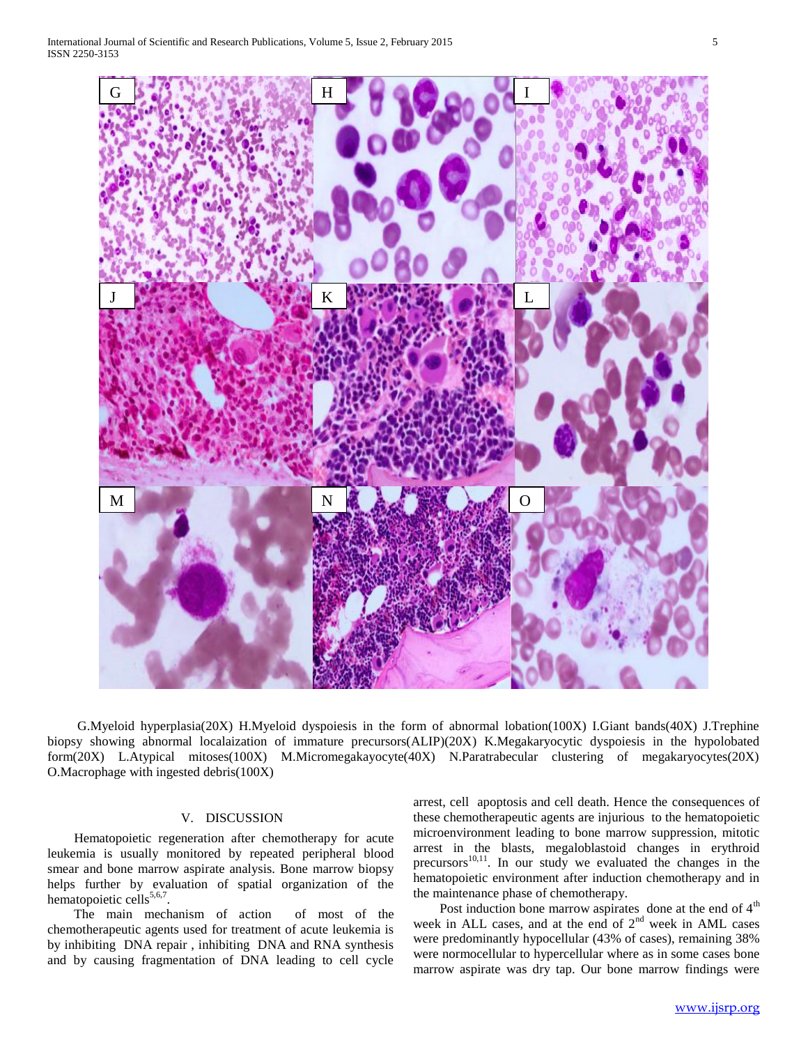

 G.Myeloid hyperplasia(20X) H.Myeloid dyspoiesis in the form of abnormal lobation(100X) I.Giant bands(40X) J.Trephine biopsy showing abnormal localaization of immature precursors(ALIP)(20X) K.Megakaryocytic dyspoiesis in the hypolobated form(20X) L.Atypical mitoses(100X) M.Micromegakayocyte(40X) N.Paratrabecular clustering of megakaryocytes(20X) O.Macrophage with ingested debris(100X)

#### V. DISCUSSION

 Hematopoietic regeneration after chemotherapy for acute leukemia is usually monitored by repeated peripheral blood smear and bone marrow aspirate analysis. Bone marrow biopsy helps further by evaluation of spatial organization of the hematopoietic cells<sup>5,6,7</sup>.

 The main mechanism of action of most of the chemotherapeutic agents used for treatment of acute leukemia is by inhibiting DNA repair , inhibiting DNA and RNA synthesis and by causing fragmentation of DNA leading to cell cycle

arrest, cell apoptosis and cell death. Hence the consequences of these chemotherapeutic agents are injurious to the hematopoietic microenvironment leading to bone marrow suppression, mitotic arrest in the blasts, megaloblastoid changes in erythroid  $precursors<sup>10,11</sup>$ . In our study we evaluated the changes in the hematopoietic environment after induction chemotherapy and in the maintenance phase of chemotherapy.

Post induction bone marrow aspirates done at the end of  $4<sup>th</sup>$ week in ALL cases, and at the end of 2<sup>nd</sup> week in AML cases were predominantly hypocellular (43% of cases), remaining 38% were normocellular to hypercellular where as in some cases bone marrow aspirate was dry tap. Our bone marrow findings were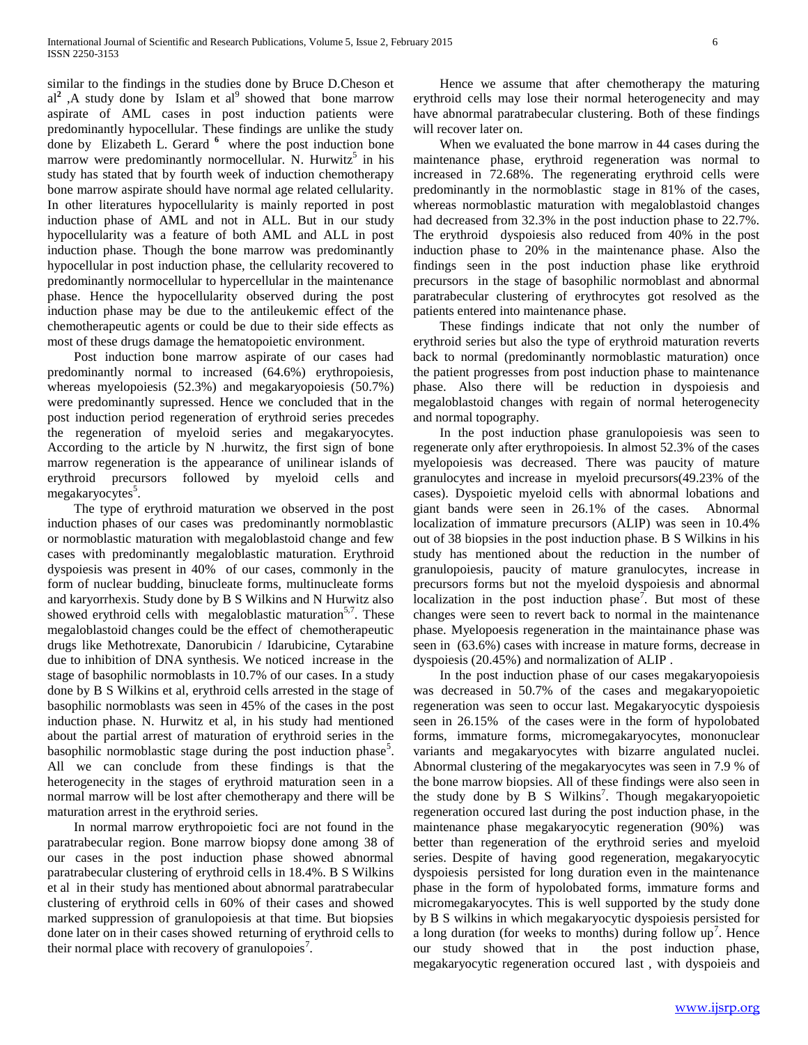similar to the findings in the studies done by Bruce D.Cheson et  $al<sup>2</sup>$ , A study done by Islam et  $al<sup>9</sup>$  showed that bone marrow aspirate of AML cases in post induction patients were predominantly hypocellular. These findings are unlike the study done by Elizabeth L. Gerard <sup>6</sup> where the post induction bone marrow were predominantly normocellular. N. Hurwitz<sup>5</sup> in his study has stated that by fourth week of induction chemotherapy bone marrow aspirate should have normal age related cellularity. In other literatures hypocellularity is mainly reported in post induction phase of AML and not in ALL. But in our study hypocellularity was a feature of both AML and ALL in post induction phase. Though the bone marrow was predominantly hypocellular in post induction phase, the cellularity recovered to predominantly normocellular to hypercellular in the maintenance phase. Hence the hypocellularity observed during the post induction phase may be due to the antileukemic effect of the chemotherapeutic agents or could be due to their side effects as most of these drugs damage the hematopoietic environment.

 Post induction bone marrow aspirate of our cases had predominantly normal to increased (64.6%) erythropoiesis, whereas myelopoiesis (52.3%) and megakaryopoiesis (50.7%) were predominantly supressed. Hence we concluded that in the post induction period regeneration of erythroid series precedes the regeneration of myeloid series and megakaryocytes. According to the article by N .hurwitz, the first sign of bone marrow regeneration is the appearance of unilinear islands of erythroid precursors followed by myeloid cells and megakaryocytes<sup>5</sup>.

 The type of erythroid maturation we observed in the post induction phases of our cases was predominantly normoblastic or normoblastic maturation with megaloblastoid change and few cases with predominantly megaloblastic maturation. Erythroid dyspoiesis was present in 40% of our cases, commonly in the form of nuclear budding, binucleate forms, multinucleate forms and karyorrhexis. Study done by B S Wilkins and N Hurwitz also showed erythroid cells with megaloblastic maturation<sup>5,7</sup>. These megaloblastoid changes could be the effect of chemotherapeutic drugs like Methotrexate, Danorubicin / Idarubicine, Cytarabine due to inhibition of DNA synthesis. We noticed increase in the stage of basophilic normoblasts in 10.7% of our cases. In a study done by B S Wilkins et al, erythroid cells arrested in the stage of basophilic normoblasts was seen in 45% of the cases in the post induction phase. N. Hurwitz et al, in his study had mentioned about the partial arrest of maturation of erythroid series in the basophilic normoblastic stage during the post induction phase<sup>5</sup>. All we can conclude from these findings is that the heterogenecity in the stages of erythroid maturation seen in a normal marrow will be lost after chemotherapy and there will be maturation arrest in the erythroid series.

 In normal marrow erythropoietic foci are not found in the paratrabecular region. Bone marrow biopsy done among 38 of our cases in the post induction phase showed abnormal paratrabecular clustering of erythroid cells in 18.4%. B S Wilkins et al in their study has mentioned about abnormal paratrabecular clustering of erythroid cells in 60% of their cases and showed marked suppression of granulopoiesis at that time. But biopsies done later on in their cases showed returning of erythroid cells to their normal place with recovery of granulopoies<sup>7</sup>.

 Hence we assume that after chemotherapy the maturing erythroid cells may lose their normal heterogenecity and may have abnormal paratrabecular clustering. Both of these findings will recover later on.

 When we evaluated the bone marrow in 44 cases during the maintenance phase, erythroid regeneration was normal to increased in 72.68%. The regenerating erythroid cells were predominantly in the normoblastic stage in 81% of the cases, whereas normoblastic maturation with megaloblastoid changes had decreased from 32.3% in the post induction phase to 22.7%. The erythroid dyspoiesis also reduced from 40% in the post induction phase to 20% in the maintenance phase. Also the findings seen in the post induction phase like erythroid precursors in the stage of basophilic normoblast and abnormal paratrabecular clustering of erythrocytes got resolved as the patients entered into maintenance phase.

 These findings indicate that not only the number of erythroid series but also the type of erythroid maturation reverts back to normal (predominantly normoblastic maturation) once the patient progresses from post induction phase to maintenance phase. Also there will be reduction in dyspoiesis and megaloblastoid changes with regain of normal heterogenecity and normal topography.

 In the post induction phase granulopoiesis was seen to regenerate only after erythropoiesis. In almost 52.3% of the cases myelopoiesis was decreased. There was paucity of mature granulocytes and increase in myeloid precursors(49.23% of the cases). Dyspoietic myeloid cells with abnormal lobations and giant bands were seen in 26.1% of the cases. Abnormal localization of immature precursors (ALIP) was seen in 10.4% out of 38 biopsies in the post induction phase. B S Wilkins in his study has mentioned about the reduction in the number of granulopoiesis, paucity of mature granulocytes, increase in precursors forms but not the myeloid dyspoiesis and abnormal localization in the post induction phase<sup>7</sup>. But most of these changes were seen to revert back to normal in the maintenance phase. Myelopoesis regeneration in the maintainance phase was seen in (63.6%) cases with increase in mature forms, decrease in dyspoiesis (20.45%) and normalization of ALIP .

 In the post induction phase of our cases megakaryopoiesis was decreased in 50.7% of the cases and megakaryopoietic regeneration was seen to occur last. Megakaryocytic dyspoiesis seen in 26.15% of the cases were in the form of hypolobated forms, immature forms, micromegakaryocytes, mononuclear variants and megakaryocytes with bizarre angulated nuclei. Abnormal clustering of the megakaryocytes was seen in 7.9 % of the bone marrow biopsies. All of these findings were also seen in the study done by  $\overline{B}$  S Wilkins<sup>7</sup>. Though megakaryopoietic regeneration occured last during the post induction phase, in the maintenance phase megakaryocytic regeneration (90%) was better than regeneration of the erythroid series and myeloid series. Despite of having good regeneration, megakaryocytic dyspoiesis persisted for long duration even in the maintenance phase in the form of hypolobated forms, immature forms and micromegakaryocytes. This is well supported by the study done by B S wilkins in which megakaryocytic dyspoiesis persisted for a long duration (for weeks to months) during follow  $up^7$ . Hence our study showed that in the post induction phase, megakaryocytic regeneration occured last , with dyspoieis and